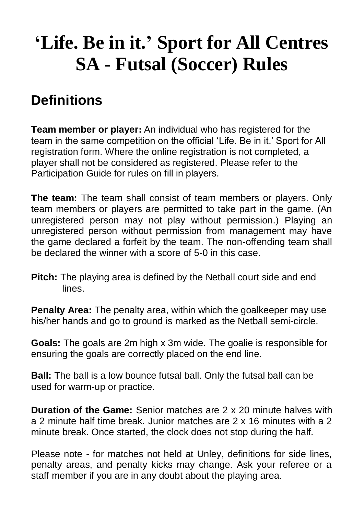# **'Life. Be in it.' Sport for All Centres SA - Futsal (Soccer) Rules**

# **Definitions**

**Team member or player:** An individual who has registered for the team in the same competition on the official 'Life. Be in it.' Sport for All registration form. Where the online registration is not completed, a player shall not be considered as registered. Please refer to the Participation Guide for rules on fill in players.

**The team:** The team shall consist of team members or players. Only team members or players are permitted to take part in the game. (An unregistered person may not play without permission.) Playing an unregistered person without permission from management may have the game declared a forfeit by the team. The non-offending team shall be declared the winner with a score of 5-0 in this case.

**Pitch:** The playing area is defined by the Netball court side and end lines.

**Penalty Area:** The penalty area, within which the goalkeeper may use his/her hands and go to ground is marked as the Netball semi-circle.

**Goals:** The goals are 2m high x 3m wide. The goalie is responsible for ensuring the goals are correctly placed on the end line.

**Ball:** The ball is a low bounce futsal ball. Only the futsal ball can be used for warm-up or practice.

**Duration of the Game:** Senior matches are 2 x 20 minute halves with a 2 minute half time break. Junior matches are 2 x 16 minutes with a 2 minute break. Once started, the clock does not stop during the half.

Please note - for matches not held at Unley, definitions for side lines, penalty areas, and penalty kicks may change. Ask your referee or a staff member if you are in any doubt about the playing area.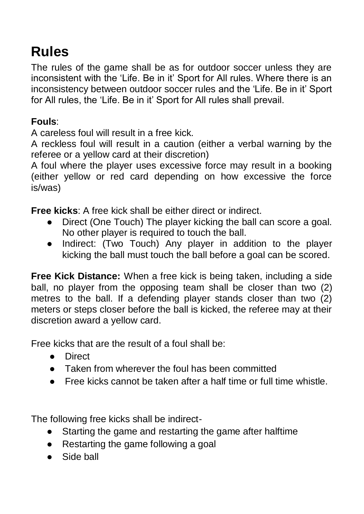# **Rules**

The rules of the game shall be as for outdoor soccer unless they are inconsistent with the 'Life. Be in it' Sport for All rules. Where there is an inconsistency between outdoor soccer rules and the 'Life. Be in it' Sport for All rules, the 'Life. Be in it' Sport for All rules shall prevail.

#### **Fouls**:

A careless foul will result in a free kick.

A reckless foul will result in a caution (either a verbal warning by the referee or a yellow card at their discretion)

A foul where the player uses excessive force may result in a booking (either yellow or red card depending on how excessive the force is/was)

**Free kicks**: A free kick shall be either direct or indirect.

- Direct (One Touch) The player kicking the ball can score a goal. No other player is required to touch the ball.
- Indirect: (Two Touch) Any player in addition to the player kicking the ball must touch the ball before a goal can be scored.

**Free Kick Distance:** When a free kick is being taken, including a side ball, no player from the opposing team shall be closer than two (2) metres to the ball. If a defending player stands closer than two (2) meters or steps closer before the ball is kicked, the referee may at their discretion award a yellow card.

Free kicks that are the result of a foul shall be:

- Direct
- Taken from wherever the foul has been committed
- Free kicks cannot be taken after a half time or full time whistle.

The following free kicks shall be indirect-

- Starting the game and restarting the game after halftime
- Restarting the game following a goal
- Side ball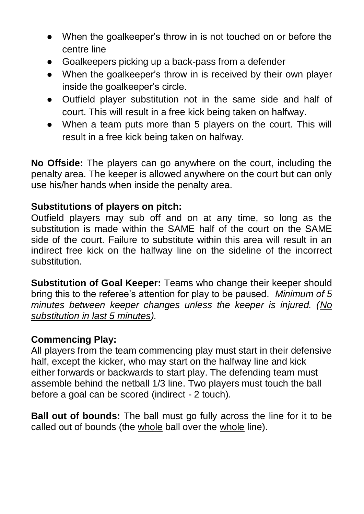- When the goalkeeper's throw in is not touched on or before the centre line
- Goalkeepers picking up a back-pass from a defender
- When the goalkeeper's throw in is received by their own player inside the goalkeeper's circle.
- Outfield player substitution not in the same side and half of court. This will result in a free kick being taken on halfway.
- When a team puts more than 5 players on the court. This will result in a free kick being taken on halfway.

**No Offside:** The players can go anywhere on the court, including the penalty area. The keeper is allowed anywhere on the court but can only use his/her hands when inside the penalty area.

#### **Substitutions of players on pitch:**

Outfield players may sub off and on at any time, so long as the substitution is made within the SAME half of the court on the SAME side of the court. Failure to substitute within this area will result in an indirect free kick on the halfway line on the sideline of the incorrect substitution.

**Substitution of Goal Keeper:** Teams who change their keeper should bring this to the referee's attention for play to be paused. *Minimum of 5 minutes between keeper changes unless the keeper is injured. (No substitution in last 5 minutes).* 

#### **Commencing Play:**

All players from the team commencing play must start in their defensive half, except the kicker, who may start on the halfway line and kick either forwards or backwards to start play. The defending team must assemble behind the netball 1/3 line. Two players must touch the ball before a goal can be scored (indirect - 2 touch).

**Ball out of bounds:** The ball must go fully across the line for it to be called out of bounds (the whole ball over the whole line).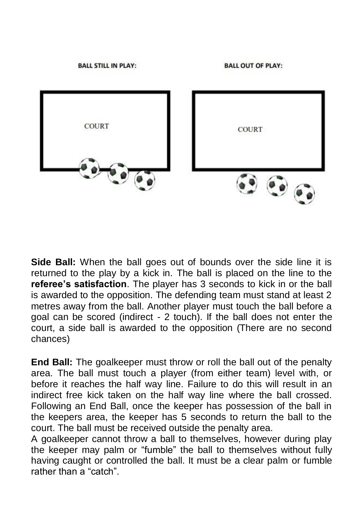

**Side Ball:** When the ball goes out of bounds over the side line it is returned to the play by a kick in. The ball is placed on the line to the **referee's satisfaction**. The player has 3 seconds to kick in or the ball is awarded to the opposition. The defending team must stand at least 2 metres away from the ball. Another player must touch the ball before a goal can be scored (indirect - 2 touch). If the ball does not enter the court, a side ball is awarded to the opposition (There are no second chances)

**End Ball:** The goalkeeper must throw or roll the ball out of the penalty area. The ball must touch a player (from either team) level with, or before it reaches the half way line. Failure to do this will result in an indirect free kick taken on the half way line where the ball crossed. Following an End Ball, once the keeper has possession of the ball in the keepers area, the keeper has 5 seconds to return the ball to the court. The ball must be received outside the penalty area.

A goalkeeper cannot throw a ball to themselves, however during play the keeper may palm or "fumble" the ball to themselves without fully having caught or controlled the ball. It must be a clear palm or fumble rather than a "catch".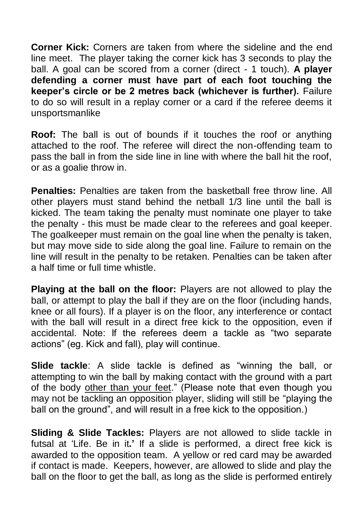**Corner Kick:** Corners are taken from where the sideline and the end line meet. The player taking the corner kick has 3 seconds to play the ball. A goal can be scored from a corner (direct - 1 touch). **A player defending a corner must have part of each foot touching the keeper's circle or be 2 metres back (whichever is further).** Failure to do so will result in a replay corner or a card if the referee deems it unsportsmanlike

**Roof:** The ball is out of bounds if it touches the roof or anything attached to the roof. The referee will direct the non-offending team to pass the ball in from the side line in line with where the ball hit the roof, or as a goalie throw in.

**Penalties:** Penalties are taken from the basketball free throw line. All other players must stand behind the netball 1/3 line until the ball is kicked. The team taking the penalty must nominate one player to take the penalty - this must be made clear to the referees and goal keeper. The goalkeeper must remain on the goal line when the penalty is taken, but may move side to side along the goal line. Failure to remain on the line will result in the penalty to be retaken. Penalties can be taken after a half time or full time whistle.

**Playing at the ball on the floor:** Players are not allowed to play the ball, or attempt to play the ball if they are on the floor (including hands, knee or all fours). If a player is on the floor, any interference or contact with the ball will result in a direct free kick to the opposition, even if accidental. Note: If the referees deem a tackle as "two separate actions" (eg. Kick and fall), play will continue.

**Slide tackle**: A slide tackle is defined as "winning the ball, or attempting to win the ball by making contact with the ground with a part of the body other than your feet." (Please note that even though you may not be tackling an opposition player, sliding will still be "playing the ball on the ground", and will result in a free kick to the opposition.)

**Sliding & Slide Tackles:** Players are not allowed to slide tackle in futsal at 'Life. Be in it**.'** If a slide is performed, a direct free kick is awarded to the opposition team. A yellow or red card may be awarded if contact is made. Keepers, however, are allowed to slide and play the ball on the floor to get the ball, as long as the slide is performed entirely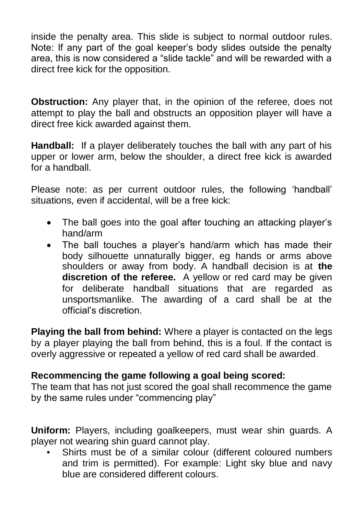inside the penalty area. This slide is subject to normal outdoor rules. Note: If any part of the goal keeper's body slides outside the penalty area, this is now considered a "slide tackle" and will be rewarded with a direct free kick for the opposition.

**Obstruction:** Any player that, in the opinion of the referee, does not attempt to play the ball and obstructs an opposition player will have a direct free kick awarded against them.

**Handball:** If a player deliberately touches the ball with any part of his upper or lower arm, below the shoulder, a direct free kick is awarded for a handball.

Please note: as per current outdoor rules, the following 'handball' situations, even if accidental, will be a free kick:

- The ball goes into the goal after touching an attacking player's hand/arm
- The ball touches a player's hand/arm which has made their body silhouette unnaturally bigger, eg hands or arms above shoulders or away from body. A handball decision is at **the discretion of the referee.** A yellow or red card may be given for deliberate handball situations that are regarded as unsportsmanlike. The awarding of a card shall be at the official's discretion.

**Playing the ball from behind:** Where a player is contacted on the legs by a player playing the ball from behind, this is a foul. If the contact is overly aggressive or repeated a yellow of red card shall be awarded.

#### **Recommencing the game following a goal being scored:**

The team that has not just scored the goal shall recommence the game by the same rules under "commencing play"

**Uniform:** Players, including goalkeepers, must wear shin guards. A player not wearing shin guard cannot play.

Shirts must be of a similar colour (different coloured numbers and trim is permitted). For example: Light sky blue and navy blue are considered different colours.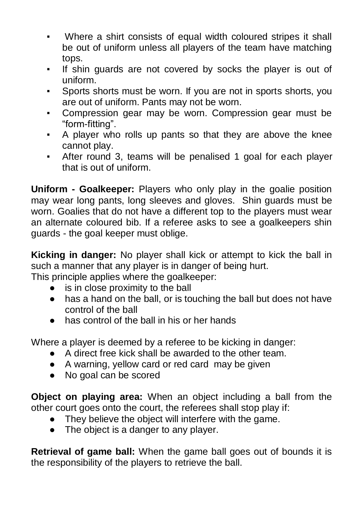- Where a shirt consists of equal width coloured stripes it shall be out of uniform unless all players of the team have matching tops.
- If shin guards are not covered by socks the player is out of uniform.
- Sports shorts must be worn. If you are not in sports shorts, you are out of uniform. Pants may not be worn.
- Compression gear may be worn. Compression gear must be "form-fitting".
- A player who rolls up pants so that they are above the knee cannot play.
- After round 3, teams will be penalised 1 goal for each player that is out of uniform.

**Uniform - Goalkeeper:** Players who only play in the goalie position may wear long pants, long sleeves and gloves. Shin guards must be worn. Goalies that do not have a different top to the players must wear an alternate coloured bib. If a referee asks to see a goalkeepers shin guards - the goal keeper must oblige.

**Kicking in danger:** No player shall kick or attempt to kick the ball in such a manner that any player is in danger of being hurt.

This principle applies where the goalkeeper:

- is in close proximity to the ball
- has a hand on the ball, or is touching the ball but does not have control of the ball
- has control of the ball in his or her hands

Where a player is deemed by a referee to be kicking in danger:

- A direct free kick shall be awarded to the other team.
- A warning, yellow card or red card may be given
- No goal can be scored

**Object on playing area:** When an object including a ball from the other court goes onto the court, the referees shall stop play if:

- They believe the object will interfere with the game.
- The object is a danger to any player.

**Retrieval of game ball:** When the game ball goes out of bounds it is the responsibility of the players to retrieve the ball.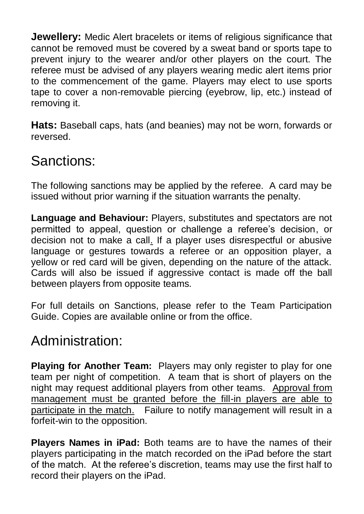**Jewellery:** Medic Alert bracelets or items of religious significance that cannot be removed must be covered by a sweat band or sports tape to prevent injury to the wearer and/or other players on the court. The referee must be advised of any players wearing medic alert items prior to the commencement of the game. Players may elect to use sports tape to cover a non-removable piercing (eyebrow, lip, etc.) instead of removing it.

**Hats:** Baseball caps, hats (and beanies) may not be worn, forwards or reversed.

## Sanctions:

The following sanctions may be applied by the referee. A card may be issued without prior warning if the situation warrants the penalty.

**Language and Behaviour:** Players, substitutes and spectators are not permitted to appeal, question or challenge a referee's decision, or decision not to make a call. If a player uses disrespectful or abusive language or gestures towards a referee or an opposition player, a yellow or red card will be given, depending on the nature of the attack. Cards will also be issued if aggressive contact is made off the ball between players from opposite teams.

For full details on Sanctions, please refer to the Team Participation Guide. Copies are available online or from the office.

### Administration:

**Playing for Another Team:** Players may only register to play for one team per night of competition. A team that is short of players on the night may request additional players from other teams. Approval from management must be granted before the fill-in players are able to participate in the match. Failure to notify management will result in a forfeit-win to the opposition.

**Players Names in iPad:** Both teams are to have the names of their players participating in the match recorded on the iPad before the start of the match. At the referee's discretion, teams may use the first half to record their players on the iPad.